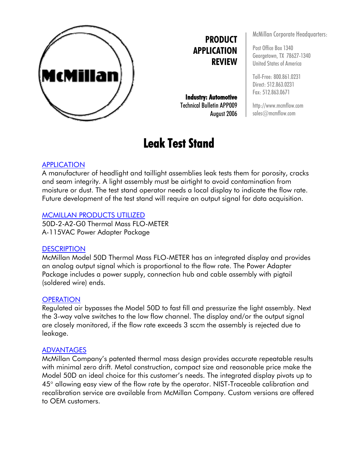

## **PRODUCT APPLICATION REVIEW**

**Industry: Automotive**  Technical Bulletin APP009 August 2006

# **Leak Test Stand**

McMillan Corporate Headquarters:

Post Office Box 1340 Georgetown, TX 78627-1340 United States of America

Toll-Free: 800.861.0231 Direct: 512.863.0231 Fax: 512.863.0671

http://www.mcmflow.com sales@mcmflow.com

### APPLICATION

A manufacturer of headlight and taillight assemblies leak tests them for porosity, cracks and seam integrity. A light assembly must be airtight to avoid contamination from moisture or dust. The test stand operator needs a local display to indicate the flow rate. Future development of the test stand will require an output signal for data acquisition.

#### MCMILLAN PRODUCTS UTILIZED

50D-2-A2-G0 Thermal Mass FLO-METER A-115VAC Power Adapter Package

#### **DESCRIPTION**

McMillan Model 50D Thermal Mass FLO-METER has an integrated display and provides an analog output signal which is proportional to the flow rate. The Power Adapter Package includes a power supply, connection hub and cable assembly with pigtail (soldered wire) ends.

#### **OPERATION**

Regulated air bypasses the Model 50D to fast fill and pressurize the light assembly. Next the 3-way valve switches to the low flow channel. The display and/or the output signal are closely monitored, if the flow rate exceeds 3 sccm the assembly is rejected due to leakage.

#### ADVANTAGES

McMillan Company's patented thermal mass design provides accurate repeatable results with minimal zero drift. Metal construction, compact size and reasonable price make the Model 50D an ideal choice for this customer's needs. The integrated display pivots up to 45° allowing easy view of the flow rate by the operator. NIST-Traceable calibration and recalibration service are available from McMillan Company. Custom versions are offered to OEM customers.